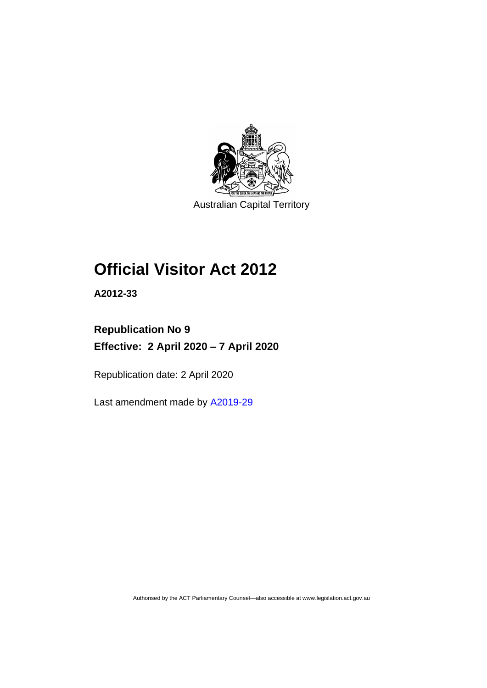

Australian Capital Territory

# **Official Visitor Act 2012**

**A2012-33**

# **Republication No 9 Effective: 2 April 2020 – 7 April 2020**

Republication date: 2 April 2020

Last amendment made by [A2019-29](http://www.legislation.act.gov.au/a/2019-29/)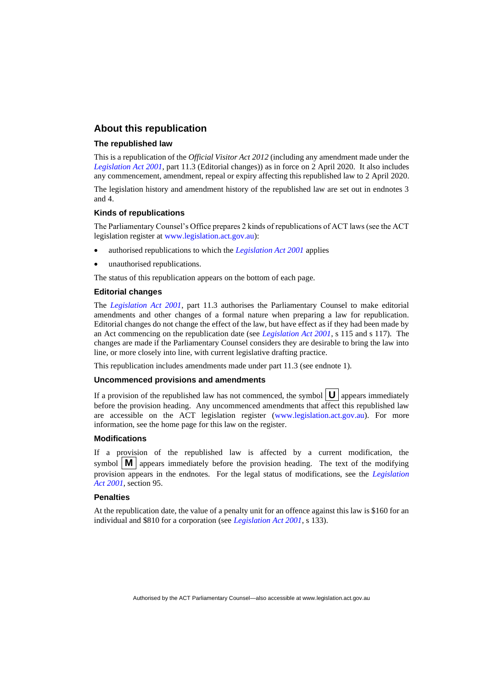# **About this republication**

#### **The republished law**

This is a republication of the *Official Visitor Act 2012* (including any amendment made under the *[Legislation Act 2001](http://www.legislation.act.gov.au/a/2001-14)*, part 11.3 (Editorial changes)) as in force on 2 April 2020*.* It also includes any commencement, amendment, repeal or expiry affecting this republished law to 2 April 2020.

The legislation history and amendment history of the republished law are set out in endnotes 3 and 4.

#### **Kinds of republications**

The Parliamentary Counsel's Office prepares 2 kinds of republications of ACT laws (see the ACT legislation register at [www.legislation.act.gov.au\)](http://www.legislation.act.gov.au/):

- authorised republications to which the *[Legislation Act 2001](http://www.legislation.act.gov.au/a/2001-14)* applies
- unauthorised republications.

The status of this republication appears on the bottom of each page.

#### **Editorial changes**

The *[Legislation Act 2001](http://www.legislation.act.gov.au/a/2001-14)*, part 11.3 authorises the Parliamentary Counsel to make editorial amendments and other changes of a formal nature when preparing a law for republication. Editorial changes do not change the effect of the law, but have effect as if they had been made by an Act commencing on the republication date (see *[Legislation Act 2001](http://www.legislation.act.gov.au/a/2001-14)*, s 115 and s 117). The changes are made if the Parliamentary Counsel considers they are desirable to bring the law into line, or more closely into line, with current legislative drafting practice.

This republication includes amendments made under part 11.3 (see endnote 1).

## **Uncommenced provisions and amendments**

If a provision of the republished law has not commenced, the symbol  $\mathbf{U}$  appears immediately before the provision heading. Any uncommenced amendments that affect this republished law are accessible on the ACT legislation register [\(www.legislation.act.gov.au\)](http://www.legislation.act.gov.au/). For more information, see the home page for this law on the register.

#### **Modifications**

If a provision of the republished law is affected by a current modification, the symbol  $\mathbf{M}$  appears immediately before the provision heading. The text of the modifying provision appears in the endnotes. For the legal status of modifications, see the *[Legislation](http://www.legislation.act.gov.au/a/2001-14)  Act [2001](http://www.legislation.act.gov.au/a/2001-14)*, section 95.

#### **Penalties**

At the republication date, the value of a penalty unit for an offence against this law is \$160 for an individual and \$810 for a corporation (see *[Legislation Act 2001](http://www.legislation.act.gov.au/a/2001-14)*, s 133).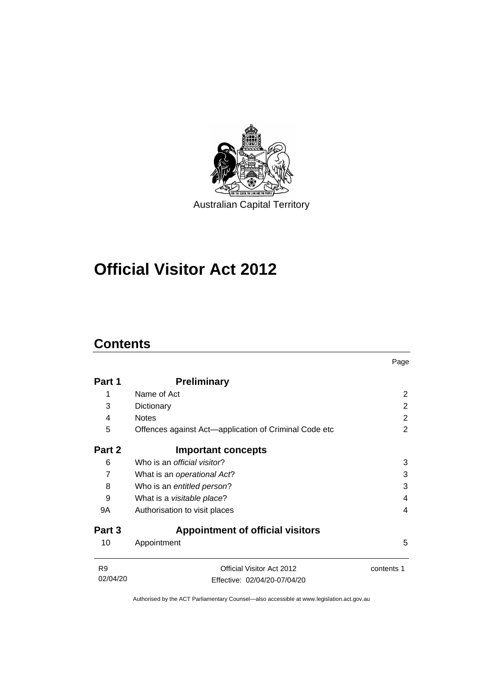

# **Official Visitor Act 2012**

# **Contents**

|                |                                                       | Page           |
|----------------|-------------------------------------------------------|----------------|
| Part 1         | <b>Preliminary</b>                                    |                |
| 1              | Name of Act                                           | 2              |
| 3              | Dictionary                                            | 2              |
| 4              | <b>Notes</b>                                          | $\overline{2}$ |
| 5              | Offences against Act—application of Criminal Code etc | 2              |
| Part 2         | <b>Important concepts</b>                             |                |
| 6              | Who is an <i>official visitor</i> ?                   | 3              |
| 7              | What is an operational Act?                           | 3              |
| 8              | Who is an entitled person?                            | 3              |
| 9              | What is a <i>visitable place</i> ?                    | 4              |
| 9A             | Authorisation to visit places                         | 4              |
| Part 3         | <b>Appointment of official visitors</b>               |                |
| 10             | Appointment                                           | 5              |
| R <sub>9</sub> | Official Visitor Act 2012                             | contents 1     |
| 02/04/20       | Effective: 02/04/20-07/04/20                          |                |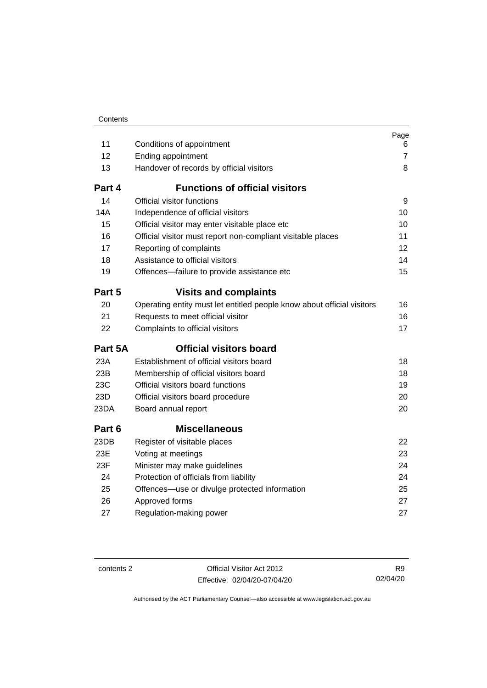| Contents |
|----------|

| 11      | Conditions of appointment                                              | Page<br>6      |
|---------|------------------------------------------------------------------------|----------------|
| 12      | Ending appointment                                                     | $\overline{7}$ |
| 13      | Handover of records by official visitors                               | 8              |
| Part 4  | <b>Functions of official visitors</b>                                  |                |
| 14      | Official visitor functions                                             | 9              |
| 14A     | Independence of official visitors                                      | 10             |
| 15      | Official visitor may enter visitable place etc                         | 10             |
| 16      | Official visitor must report non-compliant visitable places            | 11             |
| 17      | Reporting of complaints                                                | 12             |
| 18      | Assistance to official visitors                                        | 14             |
| 19      | Offences-failure to provide assistance etc                             | 15             |
| Part 5  | <b>Visits and complaints</b>                                           |                |
| 20      | Operating entity must let entitled people know about official visitors | 16             |
| 21      | Requests to meet official visitor                                      | 16             |
| 22      | Complaints to official visitors                                        | 17             |
| Part 5A | <b>Official visitors board</b>                                         |                |
| 23A     | Establishment of official visitors board                               | 18             |
| 23B     | Membership of official visitors board                                  | 18             |
| 23C     | Official visitors board functions                                      | 19             |
| 23D     | Official visitors board procedure                                      | 20             |
| 23DA    | Board annual report                                                    | 20             |
| Part 6  | <b>Miscellaneous</b>                                                   |                |
| 23DB    | Register of visitable places                                           | 22             |
| 23E     | Voting at meetings                                                     | 23             |
| 23F     | Minister may make guidelines                                           | 24             |
| 24      | Protection of officials from liability                                 | 24             |
| 25      | Offences-use or divulge protected information                          | 25             |
| 26      | Approved forms                                                         | 27             |
| 27      | Regulation-making power                                                | 27             |

contents 2 Official Visitor Act 2012 Effective: 02/04/20-07/04/20

R9 02/04/20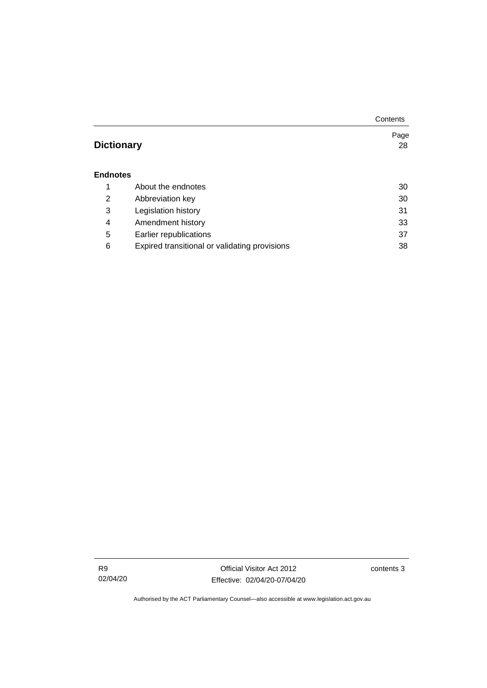|                   |                                               | Contents |
|-------------------|-----------------------------------------------|----------|
|                   |                                               | Page     |
| <b>Dictionary</b> |                                               | 28       |
|                   |                                               |          |
| <b>Endnotes</b>   |                                               |          |
| 1                 | About the endnotes                            | 30       |
| 2                 | Abbreviation key                              | 30       |
| 3                 | Legislation history                           | 31       |
| 4                 | Amendment history                             | 33       |
| 5                 | Earlier republications                        | 37       |
| 6                 | Expired transitional or validating provisions | 38       |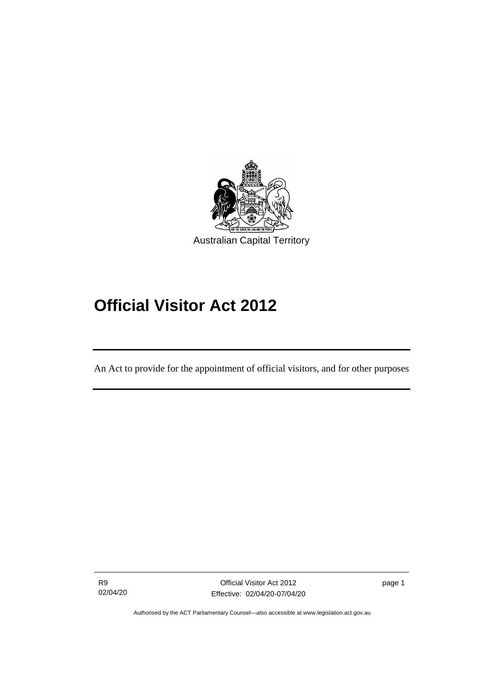

# **Official Visitor Act 2012**

An Act to provide for the appointment of official visitors, and for other purposes

R9 02/04/20

֖֖֖֚֚֚֡֬֝֬

page 1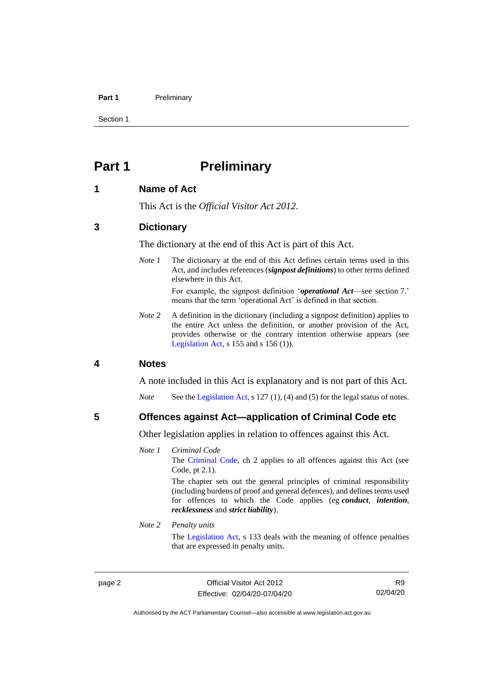#### **Part 1** Preliminary

Section 1

# <span id="page-7-0"></span>**Part 1 Preliminary**

# <span id="page-7-1"></span>**1 Name of Act**

This Act is the *Official Visitor Act 2012*.

## <span id="page-7-2"></span>**3 Dictionary**

The dictionary at the end of this Act is part of this Act.

*Note 1* The dictionary at the end of this Act defines certain terms used in this Act, and includes references (*signpost definitions*) to other terms defined elsewhere in this Act.

> For example, the signpost definition '*operational Act*—see section 7.' means that the term 'operational Act' is defined in that section.

*Note 2* A definition in the dictionary (including a signpost definition) applies to the entire Act unless the definition, or another provision of the Act, provides otherwise or the contrary intention otherwise appears (see [Legislation Act,](http://www.legislation.act.gov.au/a/2001-14) s 155 and s 156 (1)).

## <span id="page-7-3"></span>**4 Notes**

A note included in this Act is explanatory and is not part of this Act.

*Note* See the [Legislation Act,](http://www.legislation.act.gov.au/a/2001-14) s 127 (1), (4) and (5) for the legal status of notes.

<span id="page-7-4"></span>**5 Offences against Act—application of Criminal Code etc**

Other legislation applies in relation to offences against this Act.

*Note 1 Criminal Code* The [Criminal Code,](http://www.legislation.act.gov.au/a/2002-51) ch 2 applies to all offences against this Act (see Code, pt 2.1). The chapter sets out the general principles of criminal responsibility (including burdens of proof and general defences), and defines terms used

for offences to which the Code applies (eg *conduct*, *intention*, *recklessness* and *strict liability*).

## *Note 2 Penalty units*

The [Legislation Act,](http://www.legislation.act.gov.au/a/2001-14) s 133 deals with the meaning of offence penalties that are expressed in penalty units.

page 2 Official Visitor Act 2012 Effective: 02/04/20-07/04/20

R9 02/04/20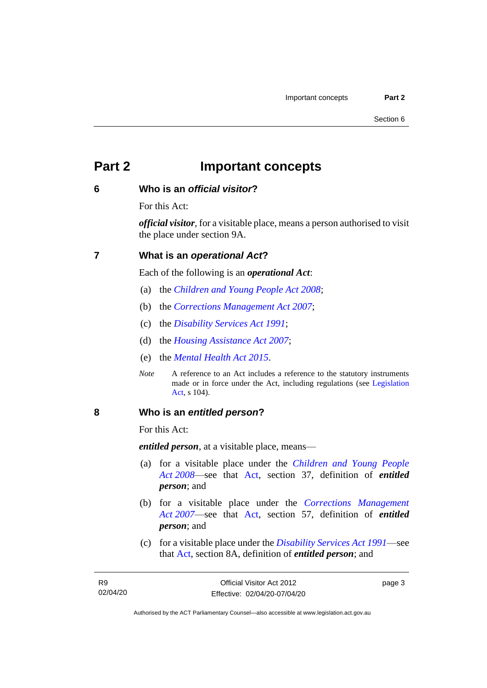# <span id="page-8-0"></span>**Part 2 Important concepts**

# <span id="page-8-1"></span>**6 Who is an** *official visitor***?**

For this Act:

*official visitor*, for a visitable place, means a person authorised to visit the place under section 9A.

# <span id="page-8-2"></span>**7 What is an** *operational Act***?**

Each of the following is an *operational Act*:

- (a) the *[Children and Young People Act 2008](http://www.legislation.act.gov.au/a/2008-19)*;
- (b) the *[Corrections Management Act 2007](http://www.legislation.act.gov.au/a/2007-15)*;
- (c) the *[Disability Services Act 1991](http://www.legislation.act.gov.au/a/1991-98)*;
- (d) the *[Housing Assistance Act 2007](http://www.legislation.act.gov.au/a/2007-8)*;
- (e) the *[Mental Health Act 2015](http://www.legislation.act.gov.au/a/2015-38)*.
- *Note* A reference to an Act includes a reference to the statutory instruments made or in force under the Act, including regulations (see [Legislation](http://www.legislation.act.gov.au/a/2001-14)  [Act,](http://www.legislation.act.gov.au/a/2001-14) s 104).

## <span id="page-8-3"></span>**8 Who is an** *entitled person***?**

For this Act:

*entitled person*, at a visitable place, means—

- (a) for a visitable place under the *[Children and Young People](http://www.legislation.act.gov.au/a/2008-19)  Act [2008](http://www.legislation.act.gov.au/a/2008-19)*—see that [Act,](https://www.legislation.act.gov.au/a/2008-19) section 37, definition of *entitled person*; and
- (b) for a visitable place under the *[Corrections Management](http://www.legislation.act.gov.au/a/2007-15)  Act [2007](http://www.legislation.act.gov.au/a/2007-15)*—see that [Act,](https://www.legislation.act.gov.au/a/2007-15) section 57, definition of *entitled person*; and
- (c) for a visitable place under the *[Disability Services Act 1991](http://www.legislation.act.gov.au/a/1991-98)*—see that [Act,](https://www.legislation.act.gov.au/a/1991-98) section 8A, definition of *entitled person*; and

page 3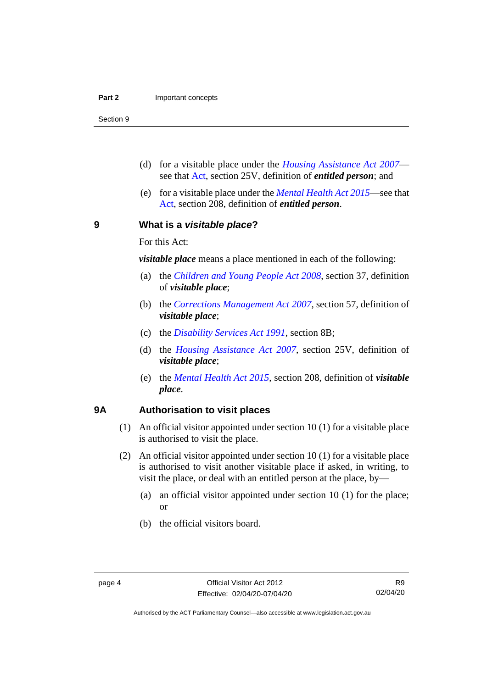Section 9

- (d) for a visitable place under the *[Housing Assistance Act 2007](http://www.legislation.act.gov.au/a/2007-8)* see that [Act,](https://www.legislation.act.gov.au/a/2007-8) section 25V, definition of *entitled person*; and
- (e) for a visitable place under the *[Mental Health Act 2015](http://www.legislation.act.gov.au/a/2015-38)*—see that [Act,](https://www.legislation.act.gov.au/a/2015-38) section 208, definition of *entitled person*.

<span id="page-9-0"></span>**9 What is a** *visitable place***?**

For this Act:

*visitable place* means a place mentioned in each of the following:

- (a) the *[Children and Young People Act](http://www.legislation.act.gov.au/a/2008-19) 2008*, section 37, definition of *visitable place*;
- (b) the *[Corrections Management Act](http://www.legislation.act.gov.au/a/2007-15) 2007*, section 57, definition of *visitable place*;
- (c) the *[Disability Services Act 1991](http://www.legislation.act.gov.au/a/1991-98)*, section 8B;
- (d) the *[Housing Assistance Act 2007](http://www.legislation.act.gov.au/a/2007-8)*, section 25V, definition of *visitable place*;
- (e) the *[Mental Health Act 2015](http://www.legislation.act.gov.au/a/2015-38)*, section 208, definition of *visitable place*.

# <span id="page-9-1"></span>**9A Authorisation to visit places**

- (1) An official visitor appointed under section 10 (1) for a visitable place is authorised to visit the place.
- (2) An official visitor appointed under section 10 (1) for a visitable place is authorised to visit another visitable place if asked, in writing, to visit the place, or deal with an entitled person at the place, by—
	- (a) an official visitor appointed under section 10 (1) for the place; or
	- (b) the official visitors board.

Authorised by the ACT Parliamentary Counsel—also accessible at www.legislation.act.gov.au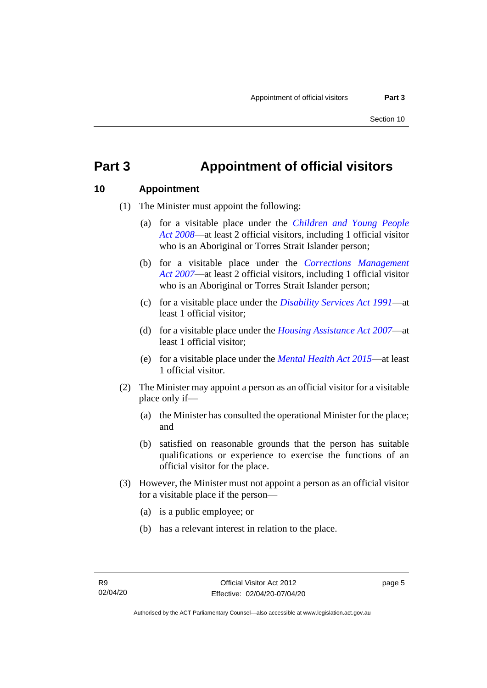# <span id="page-10-0"></span>**Part 3 Appointment of official visitors**

# <span id="page-10-1"></span>**10 Appointment**

- (1) The Minister must appoint the following:
	- (a) for a visitable place under the *[Children and Young People](http://www.legislation.act.gov.au/a/2008-19)  Act [2008](http://www.legislation.act.gov.au/a/2008-19)*—at least 2 official visitors, including 1 official visitor who is an Aboriginal or Torres Strait Islander person;
	- (b) for a visitable place under the *[Corrections Management](http://www.legislation.act.gov.au/a/2007-15)  Act [2007](http://www.legislation.act.gov.au/a/2007-15)*—at least 2 official visitors, including 1 official visitor who is an Aboriginal or Torres Strait Islander person;
	- (c) for a visitable place under the *[Disability Services Act 1991](http://www.legislation.act.gov.au/a/1991-98)*—at least 1 official visitor;
	- (d) for a visitable place under the *[Housing Assistance Act 2007](http://www.legislation.act.gov.au/a/2007-8)*—at least 1 official visitor;
	- (e) for a visitable place under the *[Mental Health Act 2015](http://www.legislation.act.gov.au/a/2015-38)*—at least 1 official visitor.
- (2) The Minister may appoint a person as an official visitor for a visitable place only if—
	- (a) the Minister has consulted the operational Minister for the place; and
	- (b) satisfied on reasonable grounds that the person has suitable qualifications or experience to exercise the functions of an official visitor for the place.
- (3) However, the Minister must not appoint a person as an official visitor for a visitable place if the person—
	- (a) is a public employee; or
	- (b) has a relevant interest in relation to the place.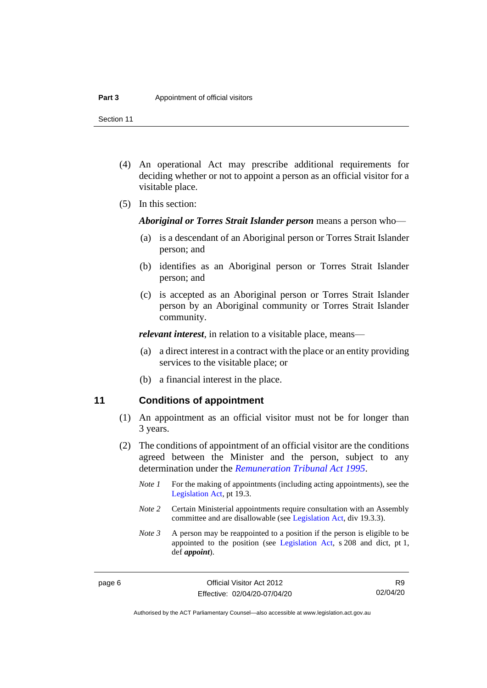Section 11

- (4) An operational Act may prescribe additional requirements for deciding whether or not to appoint a person as an official visitor for a visitable place.
- (5) In this section:

*Aboriginal or Torres Strait Islander person* means a person who—

- (a) is a descendant of an Aboriginal person or Torres Strait Islander person; and
- (b) identifies as an Aboriginal person or Torres Strait Islander person; and
- (c) is accepted as an Aboriginal person or Torres Strait Islander person by an Aboriginal community or Torres Strait Islander community.

*relevant interest*, in relation to a visitable place, means—

- (a) a direct interest in a contract with the place or an entity providing services to the visitable place; or
- (b) a financial interest in the place.

# <span id="page-11-0"></span>**11 Conditions of appointment**

- (1) An appointment as an official visitor must not be for longer than 3 years.
- (2) The conditions of appointment of an official visitor are the conditions agreed between the Minister and the person, subject to any determination under the *[Remuneration Tribunal Act 1995](http://www.legislation.act.gov.au/a/1995-55)*.
	- *Note 1* For the making of appointments (including acting appointments), see the [Legislation Act,](http://www.legislation.act.gov.au/a/2001-14) pt 19.3.
	- *Note 2* Certain Ministerial appointments require consultation with an Assembly committee and are disallowable (see [Legislation Act,](http://www.legislation.act.gov.au/a/2001-14) div 19.3.3).
	- *Note 3* A person may be reappointed to a position if the person is eligible to be appointed to the position (see [Legislation Act,](http://www.legislation.act.gov.au/a/2001-14) s 208 and dict, pt 1, def *appoint*).

R9 02/04/20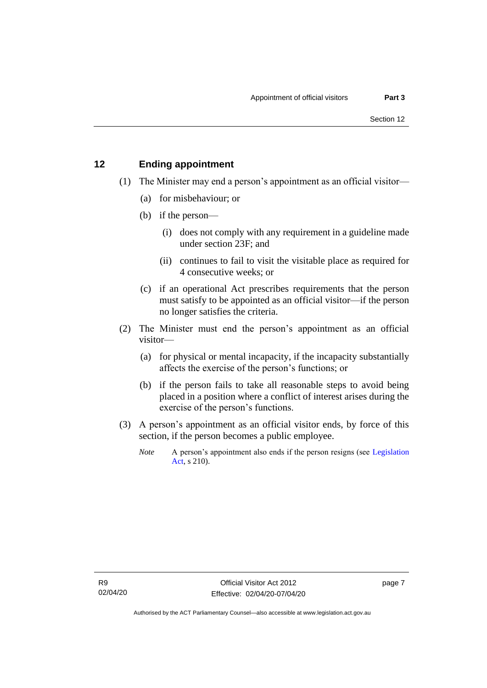# <span id="page-12-0"></span>**12 Ending appointment**

- (1) The Minister may end a person's appointment as an official visitor—
	- (a) for misbehaviour; or
	- (b) if the person—
		- (i) does not comply with any requirement in a guideline made under section 23F; and
		- (ii) continues to fail to visit the visitable place as required for 4 consecutive weeks; or
	- (c) if an operational Act prescribes requirements that the person must satisfy to be appointed as an official visitor—if the person no longer satisfies the criteria.
- (2) The Minister must end the person's appointment as an official visitor—
	- (a) for physical or mental incapacity, if the incapacity substantially affects the exercise of the person's functions; or
	- (b) if the person fails to take all reasonable steps to avoid being placed in a position where a conflict of interest arises during the exercise of the person's functions.
- (3) A person's appointment as an official visitor ends, by force of this section, if the person becomes a public employee.
	- *Note* A person's appointment also ends if the person resigns (see Legislation [Act,](http://www.legislation.act.gov.au/a/2001-14) s 210).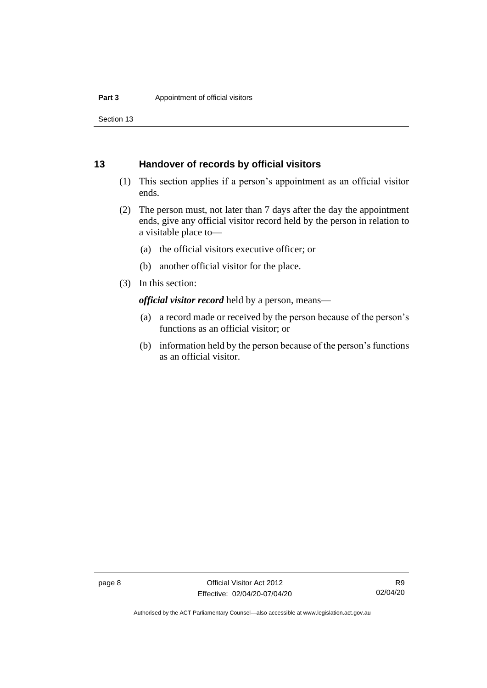Section 13

# <span id="page-13-0"></span>**13 Handover of records by official visitors**

- (1) This section applies if a person's appointment as an official visitor ends.
- (2) The person must, not later than 7 days after the day the appointment ends, give any official visitor record held by the person in relation to a visitable place to—
	- (a) the official visitors executive officer; or
	- (b) another official visitor for the place.
- (3) In this section:

*official visitor record* held by a person, means—

- (a) a record made or received by the person because of the person's functions as an official visitor; or
- (b) information held by the person because of the person's functions as an official visitor.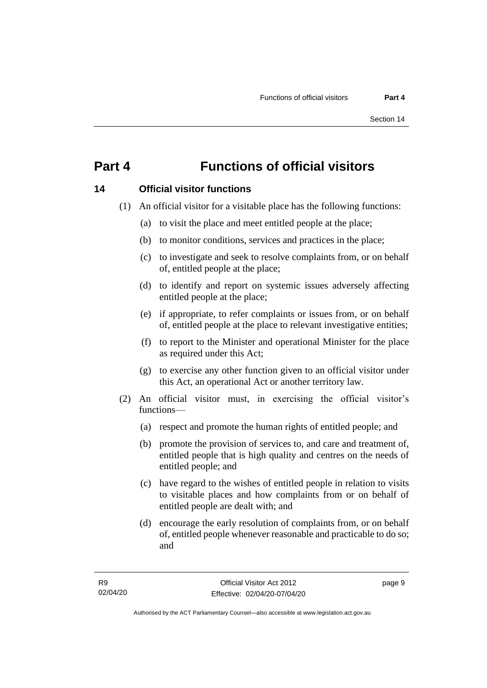# <span id="page-14-0"></span>**Part 4 Functions of official visitors**

# <span id="page-14-1"></span>**14 Official visitor functions**

- (1) An official visitor for a visitable place has the following functions:
	- (a) to visit the place and meet entitled people at the place;
	- (b) to monitor conditions, services and practices in the place;
	- (c) to investigate and seek to resolve complaints from, or on behalf of, entitled people at the place;
	- (d) to identify and report on systemic issues adversely affecting entitled people at the place;
	- (e) if appropriate, to refer complaints or issues from, or on behalf of, entitled people at the place to relevant investigative entities;
	- (f) to report to the Minister and operational Minister for the place as required under this Act;
	- (g) to exercise any other function given to an official visitor under this Act, an operational Act or another territory law.
- (2) An official visitor must, in exercising the official visitor's functions—
	- (a) respect and promote the human rights of entitled people; and
	- (b) promote the provision of services to, and care and treatment of, entitled people that is high quality and centres on the needs of entitled people; and
	- (c) have regard to the wishes of entitled people in relation to visits to visitable places and how complaints from or on behalf of entitled people are dealt with; and
	- (d) encourage the early resolution of complaints from, or on behalf of, entitled people whenever reasonable and practicable to do so; and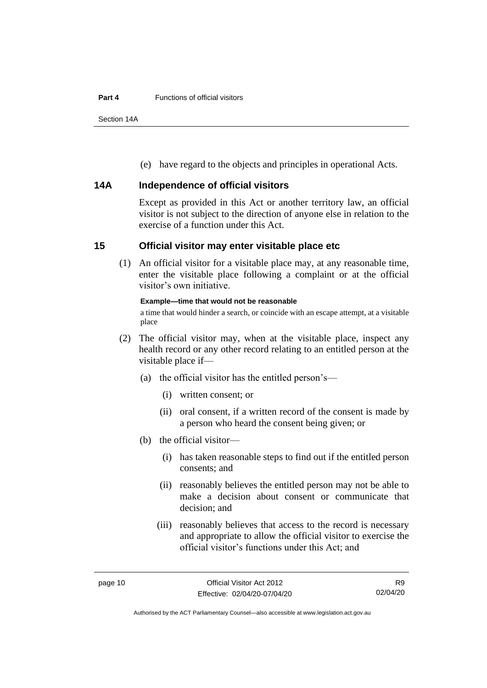#### **Part 4** Functions of official visitors

Section 14A

(e) have regard to the objects and principles in operational Acts.

# <span id="page-15-0"></span>**14A Independence of official visitors**

Except as provided in this Act or another territory law, an official visitor is not subject to the direction of anyone else in relation to the exercise of a function under this Act.

# <span id="page-15-1"></span>**15 Official visitor may enter visitable place etc**

(1) An official visitor for a visitable place may, at any reasonable time, enter the visitable place following a complaint or at the official visitor's own initiative.

## **Example—time that would not be reasonable**

a time that would hinder a search, or coincide with an escape attempt, at a visitable place

- (2) The official visitor may, when at the visitable place, inspect any health record or any other record relating to an entitled person at the visitable place if—
	- (a) the official visitor has the entitled person's—
		- (i) written consent; or
		- (ii) oral consent, if a written record of the consent is made by a person who heard the consent being given; or
	- (b) the official visitor—
		- (i) has taken reasonable steps to find out if the entitled person consents; and
		- (ii) reasonably believes the entitled person may not be able to make a decision about consent or communicate that decision; and
		- (iii) reasonably believes that access to the record is necessary and appropriate to allow the official visitor to exercise the official visitor's functions under this Act; and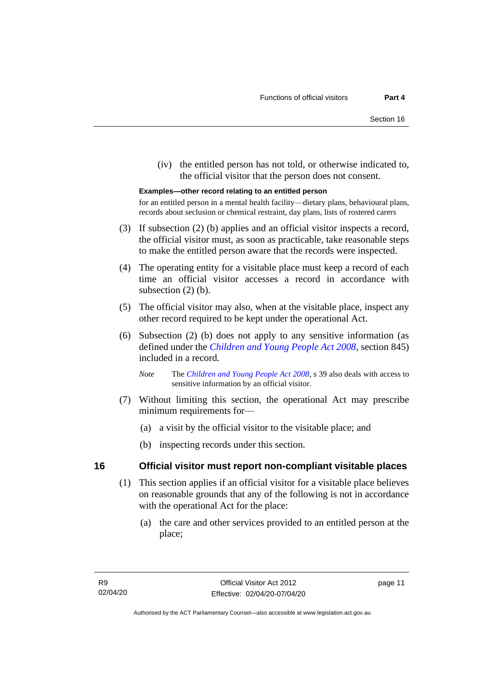(iv) the entitled person has not told, or otherwise indicated to, the official visitor that the person does not consent.

#### **Examples—other record relating to an entitled person**

for an entitled person in a mental health facility—dietary plans, behavioural plans, records about seclusion or chemical restraint, day plans, lists of rostered carers

- (3) If subsection (2) (b) applies and an official visitor inspects a record, the official visitor must, as soon as practicable, take reasonable steps to make the entitled person aware that the records were inspected.
- (4) The operating entity for a visitable place must keep a record of each time an official visitor accesses a record in accordance with subsection  $(2)$  (b).
- (5) The official visitor may also, when at the visitable place, inspect any other record required to be kept under the operational Act.
- (6) Subsection (2) (b) does not apply to any sensitive information (as defined under the *[Children and Young People Act 2008](http://www.legislation.act.gov.au/a/2008-19)*, section 845) included in a record.
	- *Note* The *[Children and Young People Act 2008](http://www.legislation.act.gov.au/a/2008-19)*, s 39 also deals with access to sensitive information by an official visitor.
- (7) Without limiting this section, the operational Act may prescribe minimum requirements for—
	- (a) a visit by the official visitor to the visitable place; and
	- (b) inspecting records under this section.

## <span id="page-16-0"></span>**16 Official visitor must report non-compliant visitable places**

- (1) This section applies if an official visitor for a visitable place believes on reasonable grounds that any of the following is not in accordance with the operational Act for the place:
	- (a) the care and other services provided to an entitled person at the place;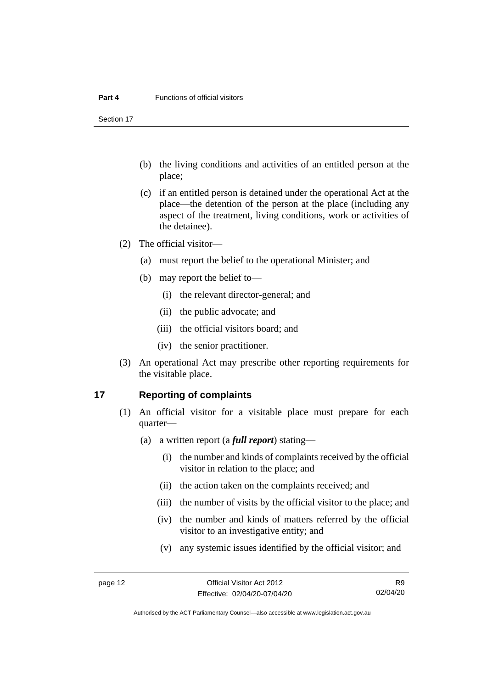#### **Part 4** Functions of official visitors

Section 17

- (b) the living conditions and activities of an entitled person at the place;
- (c) if an entitled person is detained under the operational Act at the place—the detention of the person at the place (including any aspect of the treatment, living conditions, work or activities of the detainee).
- (2) The official visitor—
	- (a) must report the belief to the operational Minister; and
	- (b) may report the belief to—
		- (i) the relevant director-general; and
		- (ii) the public advocate; and
		- (iii) the official visitors board; and
		- (iv) the senior practitioner.
- (3) An operational Act may prescribe other reporting requirements for the visitable place.

## <span id="page-17-0"></span>**17 Reporting of complaints**

- (1) An official visitor for a visitable place must prepare for each quarter—
	- (a) a written report (a *full report*) stating—
		- (i) the number and kinds of complaints received by the official visitor in relation to the place; and
		- (ii) the action taken on the complaints received; and
		- (iii) the number of visits by the official visitor to the place; and
		- (iv) the number and kinds of matters referred by the official visitor to an investigative entity; and
		- (v) any systemic issues identified by the official visitor; and

R9 02/04/20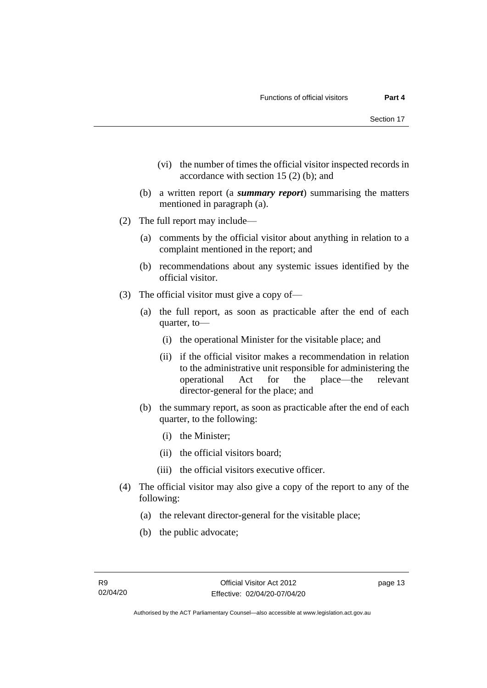- (vi) the number of times the official visitor inspected records in accordance with section 15 (2) (b); and
- (b) a written report (a *summary report*) summarising the matters mentioned in paragraph (a).
- (2) The full report may include—
	- (a) comments by the official visitor about anything in relation to a complaint mentioned in the report; and
	- (b) recommendations about any systemic issues identified by the official visitor.
- (3) The official visitor must give a copy of—
	- (a) the full report, as soon as practicable after the end of each quarter, to—
		- (i) the operational Minister for the visitable place; and
		- (ii) if the official visitor makes a recommendation in relation to the administrative unit responsible for administering the operational Act for the place—the relevant director-general for the place; and
	- (b) the summary report, as soon as practicable after the end of each quarter, to the following:
		- (i) the Minister;
		- (ii) the official visitors board;
		- (iii) the official visitors executive officer.
- (4) The official visitor may also give a copy of the report to any of the following:
	- (a) the relevant director-general for the visitable place;
	- (b) the public advocate;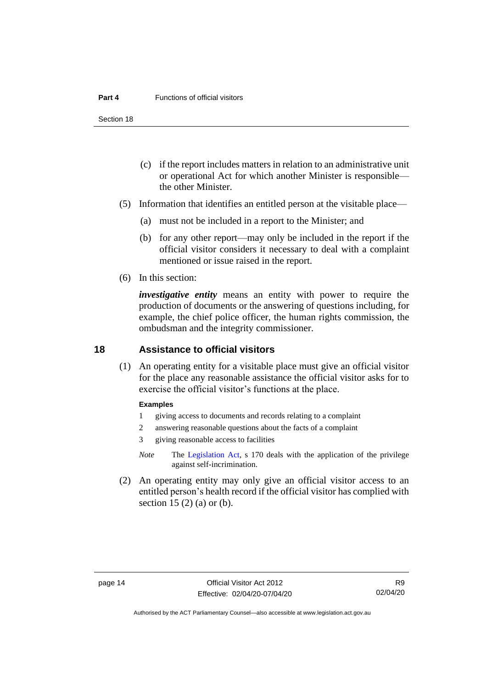#### **Part 4** Functions of official visitors

Section 18

- (c) if the report includes matters in relation to an administrative unit or operational Act for which another Minister is responsible the other Minister.
- (5) Information that identifies an entitled person at the visitable place—
	- (a) must not be included in a report to the Minister; and
	- (b) for any other report—may only be included in the report if the official visitor considers it necessary to deal with a complaint mentioned or issue raised in the report.
- (6) In this section:

*investigative entity* means an entity with power to require the production of documents or the answering of questions including, for example, the chief police officer, the human rights commission, the ombudsman and the integrity commissioner.

# <span id="page-19-0"></span>**18 Assistance to official visitors**

(1) An operating entity for a visitable place must give an official visitor for the place any reasonable assistance the official visitor asks for to exercise the official visitor's functions at the place.

#### **Examples**

- 1 giving access to documents and records relating to a complaint
- 2 answering reasonable questions about the facts of a complaint
- 3 giving reasonable access to facilities
- *Note* The [Legislation Act,](http://www.legislation.act.gov.au/a/2001-14) s 170 deals with the application of the privilege against self-incrimination.
- (2) An operating entity may only give an official visitor access to an entitled person's health record if the official visitor has complied with section 15  $(2)$  (a) or (b).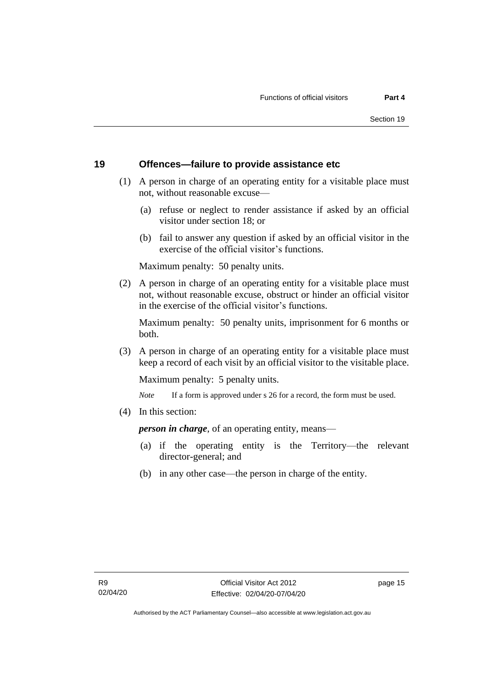# <span id="page-20-0"></span>**19 Offences—failure to provide assistance etc**

- (1) A person in charge of an operating entity for a visitable place must not, without reasonable excuse—
	- (a) refuse or neglect to render assistance if asked by an official visitor under section 18; or
	- (b) fail to answer any question if asked by an official visitor in the exercise of the official visitor's functions.

Maximum penalty: 50 penalty units.

(2) A person in charge of an operating entity for a visitable place must not, without reasonable excuse, obstruct or hinder an official visitor in the exercise of the official visitor's functions.

Maximum penalty: 50 penalty units, imprisonment for 6 months or both.

(3) A person in charge of an operating entity for a visitable place must keep a record of each visit by an official visitor to the visitable place.

Maximum penalty: 5 penalty units.

*Note* If a form is approved under s 26 for a record, the form must be used.

(4) In this section:

*person in charge*, of an operating entity, means—

- (a) if the operating entity is the Territory—the relevant director-general; and
- (b) in any other case—the person in charge of the entity.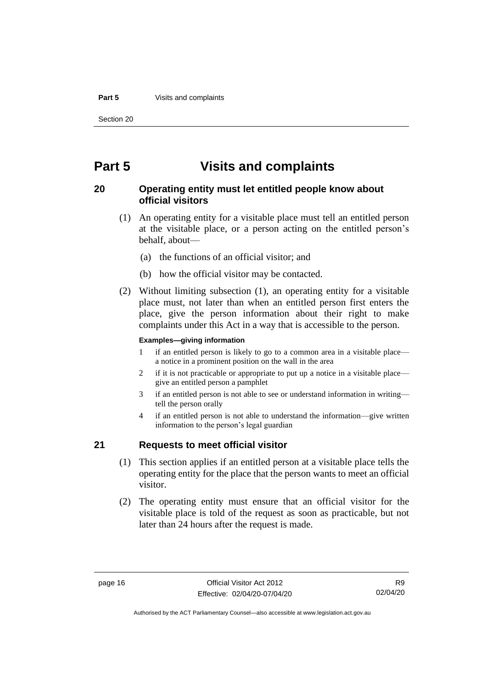#### **Part 5** Visits and complaints

Section 20

# <span id="page-21-0"></span>**Part 5 Visits and complaints**

# <span id="page-21-1"></span>**20 Operating entity must let entitled people know about official visitors**

- (1) An operating entity for a visitable place must tell an entitled person at the visitable place, or a person acting on the entitled person's behalf, about—
	- (a) the functions of an official visitor; and
	- (b) how the official visitor may be contacted.
- (2) Without limiting subsection (1), an operating entity for a visitable place must, not later than when an entitled person first enters the place, give the person information about their right to make complaints under this Act in a way that is accessible to the person.

#### **Examples—giving information**

- 1 if an entitled person is likely to go to a common area in a visitable place a notice in a prominent position on the wall in the area
- 2 if it is not practicable or appropriate to put up a notice in a visitable place give an entitled person a pamphlet
- 3 if an entitled person is not able to see or understand information in writing tell the person orally
- 4 if an entitled person is not able to understand the information—give written information to the person's legal guardian

# <span id="page-21-2"></span>**21 Requests to meet official visitor**

- (1) This section applies if an entitled person at a visitable place tells the operating entity for the place that the person wants to meet an official visitor.
- (2) The operating entity must ensure that an official visitor for the visitable place is told of the request as soon as practicable, but not later than 24 hours after the request is made.

Authorised by the ACT Parliamentary Counsel—also accessible at www.legislation.act.gov.au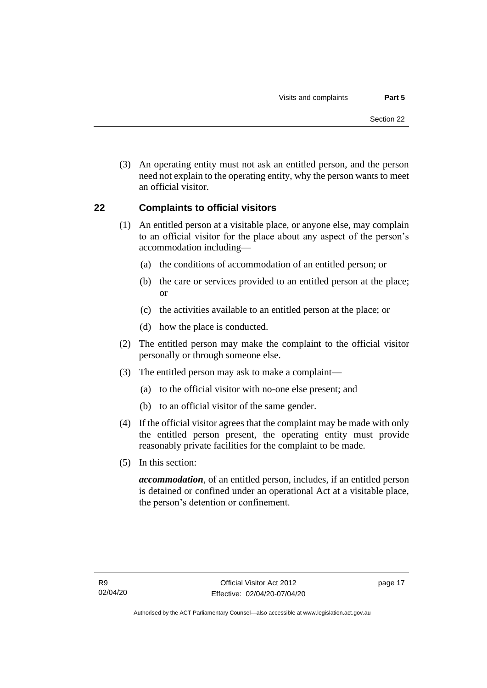(3) An operating entity must not ask an entitled person, and the person need not explain to the operating entity, why the person wants to meet an official visitor.

# <span id="page-22-0"></span>**22 Complaints to official visitors**

- (1) An entitled person at a visitable place, or anyone else, may complain to an official visitor for the place about any aspect of the person's accommodation including—
	- (a) the conditions of accommodation of an entitled person; or
	- (b) the care or services provided to an entitled person at the place; or
	- (c) the activities available to an entitled person at the place; or
	- (d) how the place is conducted.
- (2) The entitled person may make the complaint to the official visitor personally or through someone else.
- (3) The entitled person may ask to make a complaint—
	- (a) to the official visitor with no-one else present; and
	- (b) to an official visitor of the same gender.
- (4) If the official visitor agrees that the complaint may be made with only the entitled person present, the operating entity must provide reasonably private facilities for the complaint to be made.
- (5) In this section:

*accommodation*, of an entitled person, includes, if an entitled person is detained or confined under an operational Act at a visitable place, the person's detention or confinement.

page 17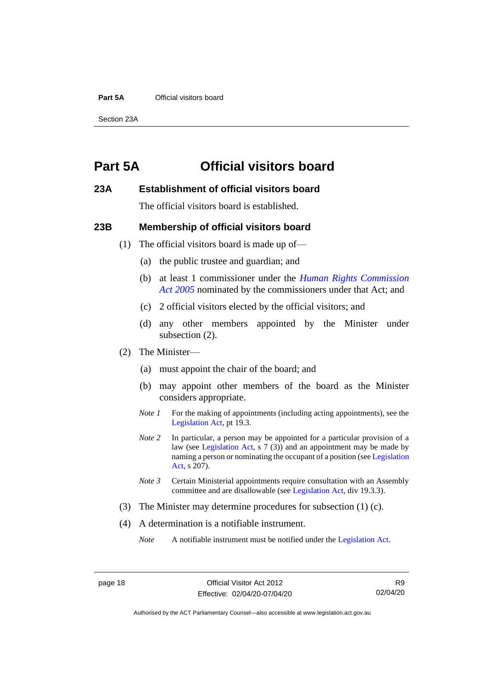#### **Part 5A** Official visitors board

Section 23A

# <span id="page-23-0"></span>**Part 5A Official visitors board**

## <span id="page-23-1"></span>**23A Establishment of official visitors board**

The official visitors board is established.

## <span id="page-23-2"></span>**23B Membership of official visitors board**

- (1) The official visitors board is made up of—
	- (a) the public trustee and guardian; and
	- (b) at least 1 commissioner under the *[Human Rights Commission](http://www.legislation.act.gov.au/a/2005-40)  Act [2005](http://www.legislation.act.gov.au/a/2005-40)* nominated by the commissioners under that Act; and
	- (c) 2 official visitors elected by the official visitors; and
	- (d) any other members appointed by the Minister under subsection (2).
- (2) The Minister—
	- (a) must appoint the chair of the board; and
	- (b) may appoint other members of the board as the Minister considers appropriate.
	- *Note 1* For the making of appointments (including acting appointments), see the [Legislation Act,](http://www.legislation.act.gov.au/a/2001-14) pt 19.3.
	- *Note 2* In particular, a person may be appointed for a particular provision of a law (see [Legislation Act,](http://www.legislation.act.gov.au/a/2001-14) s 7 (3)) and an appointment may be made by naming a person or nominating the occupant of a position (se[e Legislation](http://www.legislation.act.gov.au/a/2001-14)  [Act,](http://www.legislation.act.gov.au/a/2001-14) s 207).
	- *Note 3* Certain Ministerial appointments require consultation with an Assembly committee and are disallowable (see [Legislation Act,](http://www.legislation.act.gov.au/a/2001-14) div 19.3.3).
- (3) The Minister may determine procedures for subsection (1) (c).
- (4) A determination is a notifiable instrument.

*Note* A notifiable instrument must be notified under the [Legislation Act.](http://www.legislation.act.gov.au/a/2001-14)

R9 02/04/20

Authorised by the ACT Parliamentary Counsel—also accessible at www.legislation.act.gov.au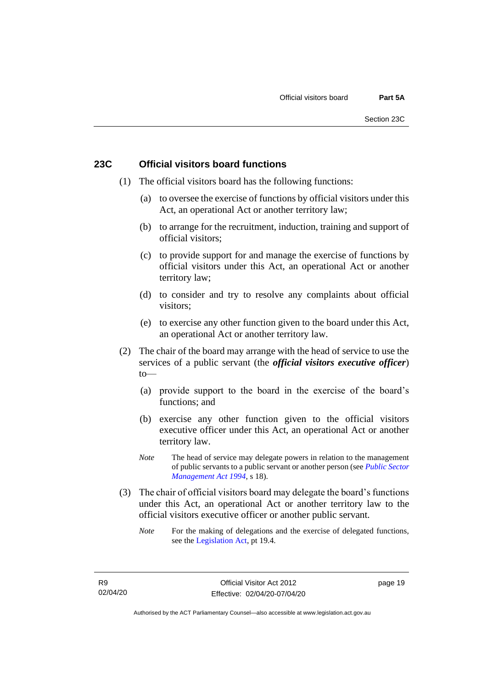# <span id="page-24-0"></span>**23C Official visitors board functions**

- (1) The official visitors board has the following functions:
	- (a) to oversee the exercise of functions by official visitors under this Act, an operational Act or another territory law;
	- (b) to arrange for the recruitment, induction, training and support of official visitors;
	- (c) to provide support for and manage the exercise of functions by official visitors under this Act, an operational Act or another territory law;
	- (d) to consider and try to resolve any complaints about official visitors;
	- (e) to exercise any other function given to the board under this Act, an operational Act or another territory law.
- (2) The chair of the board may arrange with the head of service to use the services of a public servant (the *official visitors executive officer*)  $to$ —
	- (a) provide support to the board in the exercise of the board's functions; and
	- (b) exercise any other function given to the official visitors executive officer under this Act, an operational Act or another territory law.
	- *Note* The head of service may delegate powers in relation to the management of public servants to a public servant or another person (see *[Public Sector](http://www.legislation.act.gov.au/a/1994-37)  [Management Act 1994](http://www.legislation.act.gov.au/a/1994-37)*, s 18).
- (3) The chair of official visitors board may delegate the board's functions under this Act, an operational Act or another territory law to the official visitors executive officer or another public servant.
	- *Note* For the making of delegations and the exercise of delegated functions, see the [Legislation Act,](http://www.legislation.act.gov.au/a/2001-14) pt 19.4.

page 19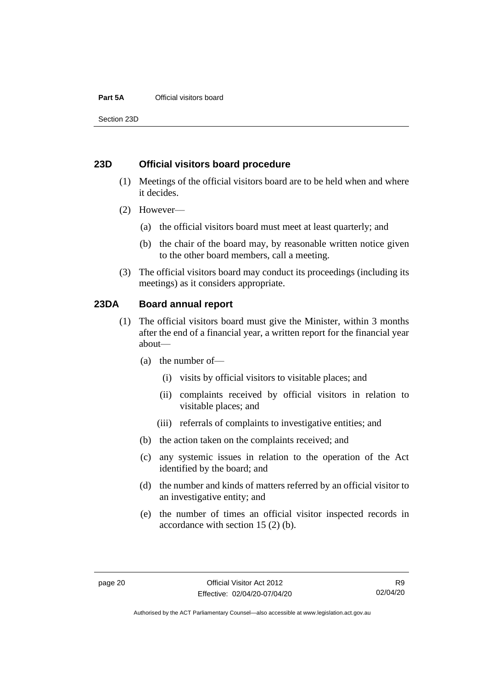#### **Part 5A** Official visitors board

Section 23D

# <span id="page-25-0"></span>**23D Official visitors board procedure**

- (1) Meetings of the official visitors board are to be held when and where it decides.
- (2) However—
	- (a) the official visitors board must meet at least quarterly; and
	- (b) the chair of the board may, by reasonable written notice given to the other board members, call a meeting.
- (3) The official visitors board may conduct its proceedings (including its meetings) as it considers appropriate.

# <span id="page-25-1"></span>**23DA Board annual report**

- (1) The official visitors board must give the Minister, within 3 months after the end of a financial year, a written report for the financial year about—
	- (a) the number of—
		- (i) visits by official visitors to visitable places; and
		- (ii) complaints received by official visitors in relation to visitable places; and
		- (iii) referrals of complaints to investigative entities; and
	- (b) the action taken on the complaints received; and
	- (c) any systemic issues in relation to the operation of the Act identified by the board; and
	- (d) the number and kinds of matters referred by an official visitor to an investigative entity; and
	- (e) the number of times an official visitor inspected records in accordance with section 15 (2) (b).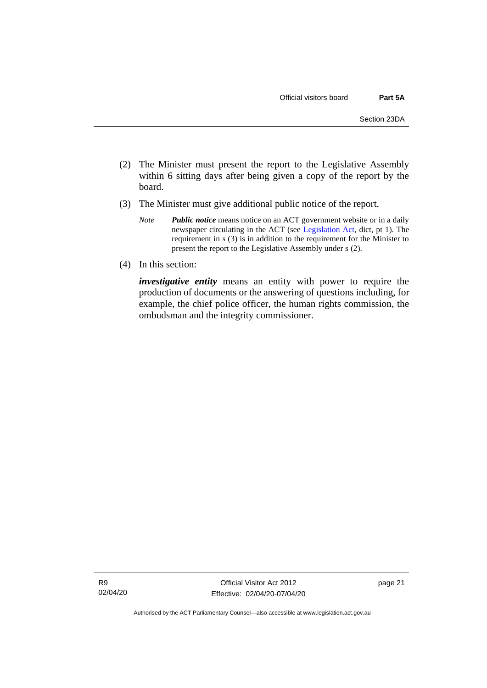- (2) The Minister must present the report to the Legislative Assembly within 6 sitting days after being given a copy of the report by the board.
- (3) The Minister must give additional public notice of the report.
	- *Note Public notice* means notice on an ACT government website or in a daily newspaper circulating in the ACT (see [Legislation Act,](http://www.legislation.act.gov.au/a/2001-14) dict, pt 1). The requirement in s (3) is in addition to the requirement for the Minister to present the report to the Legislative Assembly under s (2).
- (4) In this section:

*investigative entity* means an entity with power to require the production of documents or the answering of questions including, for example, the chief police officer, the human rights commission, the ombudsman and the integrity commissioner.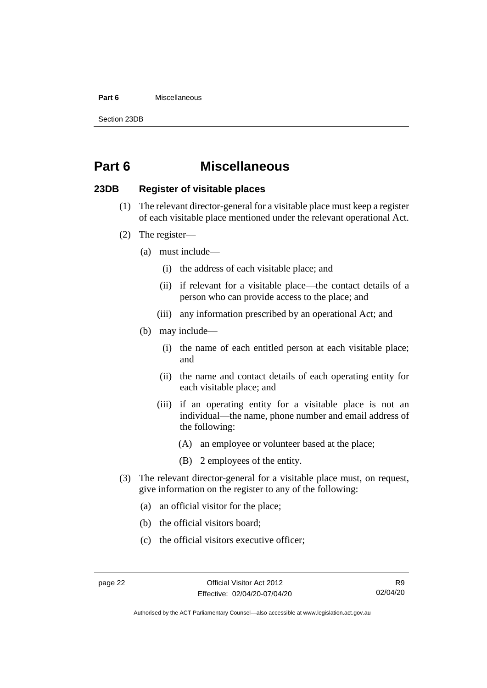#### **Part 6** Miscellaneous

Section 23DB

# <span id="page-27-0"></span>**Part 6 Miscellaneous**

# <span id="page-27-1"></span>**23DB Register of visitable places**

- (1) The relevant director-general for a visitable place must keep a register of each visitable place mentioned under the relevant operational Act.
- (2) The register—
	- (a) must include—
		- (i) the address of each visitable place; and
		- (ii) if relevant for a visitable place—the contact details of a person who can provide access to the place; and
		- (iii) any information prescribed by an operational Act; and
	- (b) may include—
		- (i) the name of each entitled person at each visitable place; and
		- (ii) the name and contact details of each operating entity for each visitable place; and
		- (iii) if an operating entity for a visitable place is not an individual—the name, phone number and email address of the following:
			- (A) an employee or volunteer based at the place;
			- (B) 2 employees of the entity.
- (3) The relevant director-general for a visitable place must, on request, give information on the register to any of the following:
	- (a) an official visitor for the place;
	- (b) the official visitors board;
	- (c) the official visitors executive officer;

Authorised by the ACT Parliamentary Counsel—also accessible at www.legislation.act.gov.au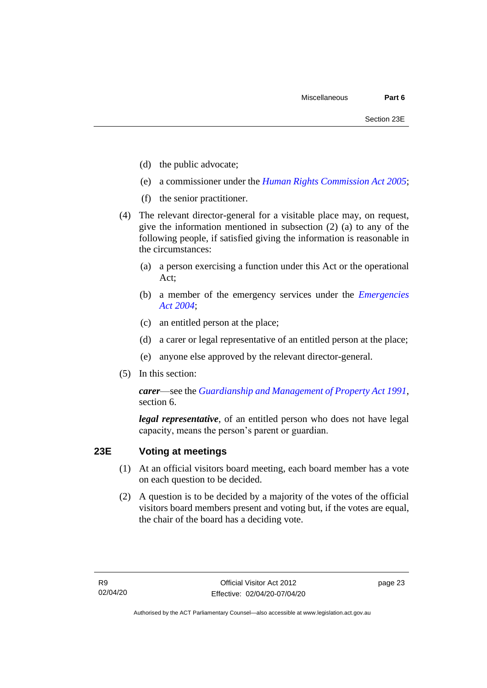- (d) the public advocate;
- (e) a commissioner under the *[Human Rights Commission Act 2005](http://www.legislation.act.gov.au/a/2005-40)*;
- (f) the senior practitioner.
- (4) The relevant director-general for a visitable place may, on request, give the information mentioned in subsection (2) (a) to any of the following people, if satisfied giving the information is reasonable in the circumstances:
	- (a) a person exercising a function under this Act or the operational Act;
	- (b) a member of the emergency services under the *[Emergencies](http://www.legislation.act.gov.au/a/2004-28)  Act [2004](http://www.legislation.act.gov.au/a/2004-28)*;
	- (c) an entitled person at the place;
	- (d) a carer or legal representative of an entitled person at the place;
	- (e) anyone else approved by the relevant director-general.
- (5) In this section:

*carer*—see the *[Guardianship and Management of Property Act 1991](http://www.legislation.act.gov.au/a/1991-62)*, section 6.

*legal representative*, of an entitled person who does not have legal capacity, means the person's parent or guardian.

# <span id="page-28-0"></span>**23E Voting at meetings**

- (1) At an official visitors board meeting, each board member has a vote on each question to be decided.
- (2) A question is to be decided by a majority of the votes of the official visitors board members present and voting but, if the votes are equal, the chair of the board has a deciding vote.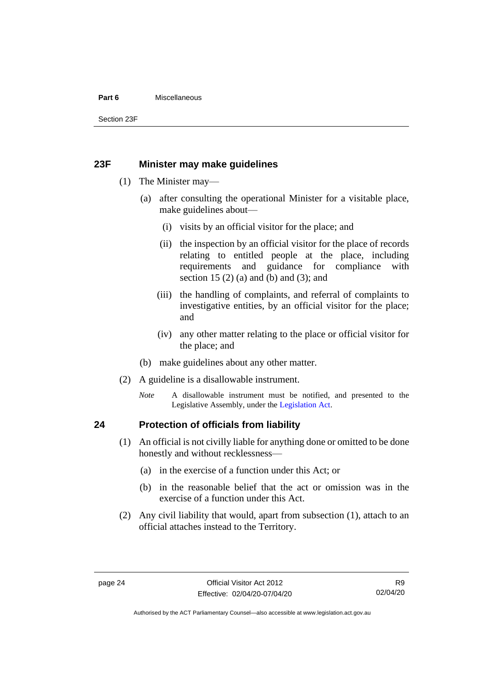#### **Part 6** Miscellaneous

Section 23F

# <span id="page-29-0"></span>**23F Minister may make guidelines**

- (1) The Minister may—
	- (a) after consulting the operational Minister for a visitable place, make guidelines about—
		- (i) visits by an official visitor for the place; and
		- (ii) the inspection by an official visitor for the place of records relating to entitled people at the place, including requirements and guidance for compliance with section 15  $(2)$  (a) and (b) and  $(3)$ ; and
		- (iii) the handling of complaints, and referral of complaints to investigative entities, by an official visitor for the place; and
		- (iv) any other matter relating to the place or official visitor for the place; and
	- (b) make guidelines about any other matter.
- (2) A guideline is a disallowable instrument.
	- *Note* A disallowable instrument must be notified, and presented to the Legislative Assembly, under the [Legislation Act.](http://www.legislation.act.gov.au/a/2001-14)

# <span id="page-29-1"></span>**24 Protection of officials from liability**

- (1) An official is not civilly liable for anything done or omitted to be done honestly and without recklessness—
	- (a) in the exercise of a function under this Act; or
	- (b) in the reasonable belief that the act or omission was in the exercise of a function under this Act.
- (2) Any civil liability that would, apart from subsection (1), attach to an official attaches instead to the Territory.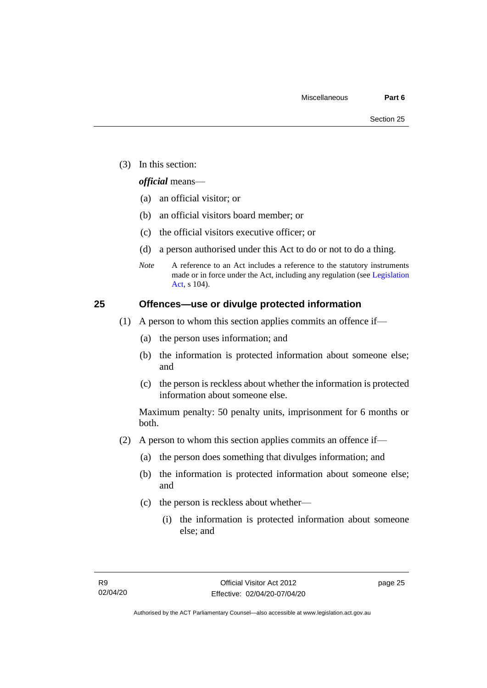(3) In this section:

## *official* means—

- (a) an official visitor; or
- (b) an official visitors board member; or
- (c) the official visitors executive officer; or
- (d) a person authorised under this Act to do or not to do a thing.
- *Note* A reference to an Act includes a reference to the statutory instruments made or in force under the Act, including any regulation (see [Legislation](http://www.legislation.act.gov.au/a/2001-14)  [Act,](http://www.legislation.act.gov.au/a/2001-14) s 104).

# <span id="page-30-0"></span>**25 Offences—use or divulge protected information**

- (1) A person to whom this section applies commits an offence if—
	- (a) the person uses information; and
	- (b) the information is protected information about someone else; and
	- (c) the person is reckless about whether the information is protected information about someone else.

Maximum penalty: 50 penalty units, imprisonment for 6 months or both.

- (2) A person to whom this section applies commits an offence if—
	- (a) the person does something that divulges information; and
	- (b) the information is protected information about someone else; and
	- (c) the person is reckless about whether—
		- (i) the information is protected information about someone else; and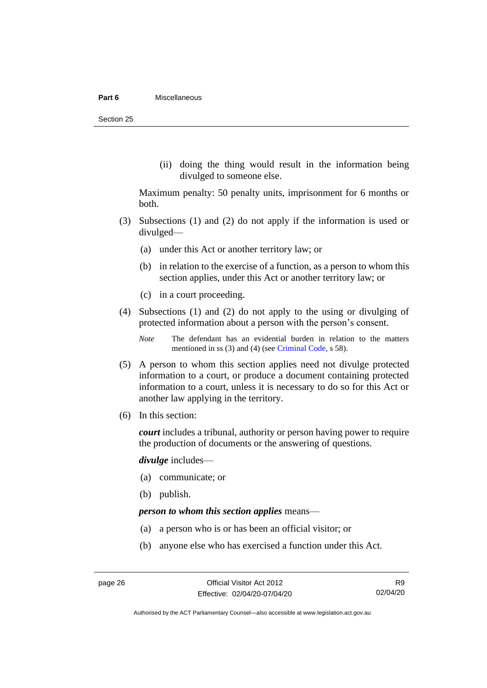#### **Part 6** Miscellaneous

Section 25

(ii) doing the thing would result in the information being divulged to someone else.

Maximum penalty: 50 penalty units, imprisonment for 6 months or both.

- (3) Subsections (1) and (2) do not apply if the information is used or divulged—
	- (a) under this Act or another territory law; or
	- (b) in relation to the exercise of a function, as a person to whom this section applies, under this Act or another territory law; or
	- (c) in a court proceeding.
- (4) Subsections (1) and (2) do not apply to the using or divulging of protected information about a person with the person's consent.

*Note* The defendant has an evidential burden in relation to the matters mentioned in ss (3) and (4) (see [Criminal Code,](http://www.legislation.act.gov.au/a/2002-51) s 58).

- (5) A person to whom this section applies need not divulge protected information to a court, or produce a document containing protected information to a court, unless it is necessary to do so for this Act or another law applying in the territory.
- (6) In this section:

*court* includes a tribunal, authority or person having power to require the production of documents or the answering of questions.

*divulge* includes—

- (a) communicate; or
- (b) publish.

## *person to whom this section applies* means—

- (a) a person who is or has been an official visitor; or
- (b) anyone else who has exercised a function under this Act.

R9 02/04/20

Authorised by the ACT Parliamentary Counsel—also accessible at www.legislation.act.gov.au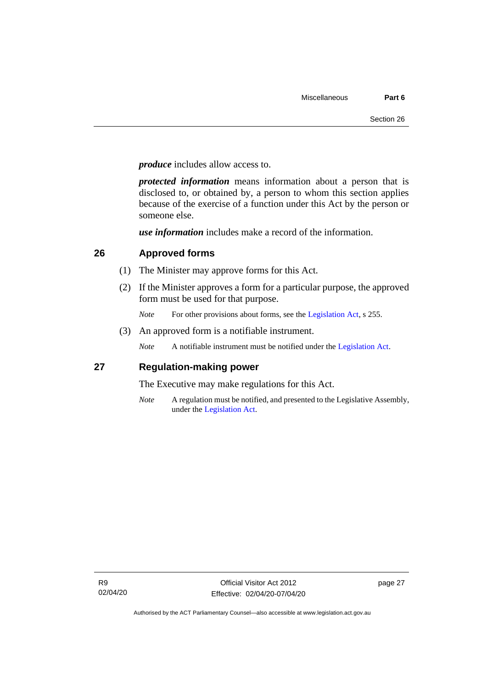*produce* includes allow access to.

*protected information* means information about a person that is disclosed to, or obtained by, a person to whom this section applies because of the exercise of a function under this Act by the person or someone else.

*use information* includes make a record of the information.

# <span id="page-32-0"></span>**26 Approved forms**

- (1) The Minister may approve forms for this Act.
- (2) If the Minister approves a form for a particular purpose, the approved form must be used for that purpose.
	- *Note* For other provisions about forms, see the [Legislation Act,](http://www.legislation.act.gov.au/a/2001-14) s 255.
- (3) An approved form is a notifiable instrument.

*Note* A notifiable instrument must be notified under the [Legislation Act.](http://www.legislation.act.gov.au/a/2001-14)

# <span id="page-32-1"></span>**27 Regulation-making power**

The Executive may make regulations for this Act.

*Note* A regulation must be notified, and presented to the Legislative Assembly, under the [Legislation Act.](http://www.legislation.act.gov.au/a/2001-14)

page 27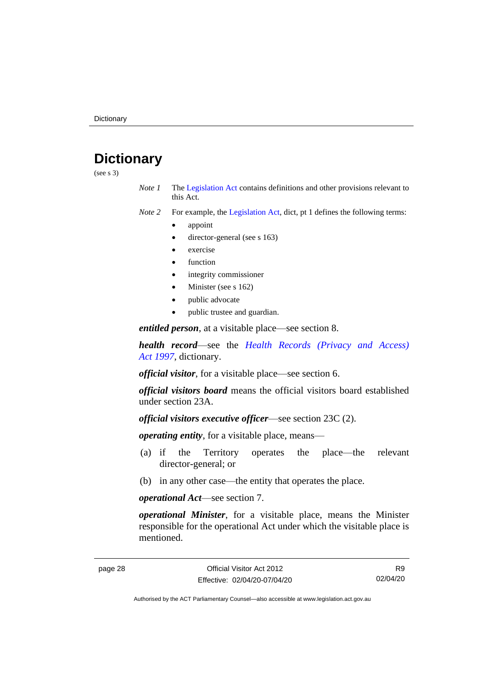# <span id="page-33-0"></span>**Dictionary**

(see s 3)

- *Note 1* The [Legislation Act](http://www.legislation.act.gov.au/a/2001-14) contains definitions and other provisions relevant to this Act.
- *Note 2* For example, the [Legislation Act,](http://www.legislation.act.gov.au/a/2001-14) dict, pt 1 defines the following terms:
	- appoint
	- director-general (see s 163)
	- exercise
	- **function**
	- integrity commissioner
	- Minister (see s 162)
	- public advocate
	- public trustee and guardian.

*entitled person*, at a visitable place—see section 8.

*health record*—see the *[Health Records \(Privacy and Access\)](http://www.legislation.act.gov.au/a/1997-125)  Act [1997](http://www.legislation.act.gov.au/a/1997-125)*, dictionary.

*official visitor*, for a visitable place—see section 6.

*official visitors board* means the official visitors board established under section 23A.

*official visitors executive officer*—see section 23C (2).

*operating entity*, for a visitable place, means—

- (a) if the Territory operates the place—the relevant director-general; or
- (b) in any other case—the entity that operates the place.

*operational Act*—see section 7.

*operational Minister*, for a visitable place, means the Minister responsible for the operational Act under which the visitable place is mentioned.

R9 02/04/20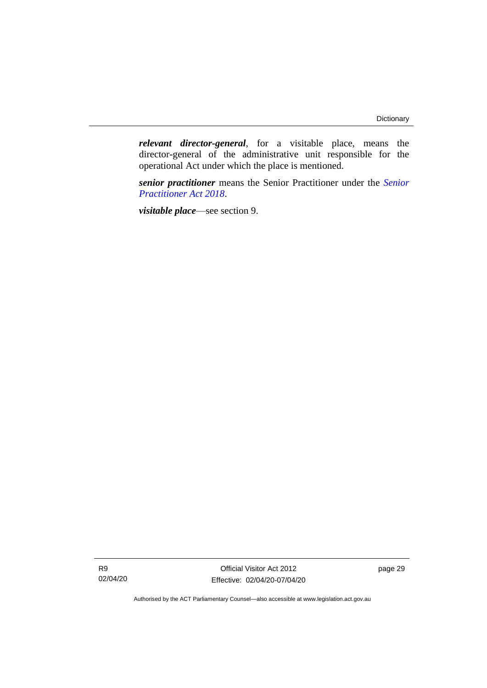*relevant director-general*, for a visitable place, means the director-general of the administrative unit responsible for the operational Act under which the place is mentioned.

*senior practitioner* means the Senior Practitioner under the *[Senior](http://www.legislation.act.gov.au/a/2018-27)  [Practitioner Act 2018](http://www.legislation.act.gov.au/a/2018-27)*.

*visitable place*—see section 9.

R9 02/04/20

Official Visitor Act 2012 Effective: 02/04/20-07/04/20 page 29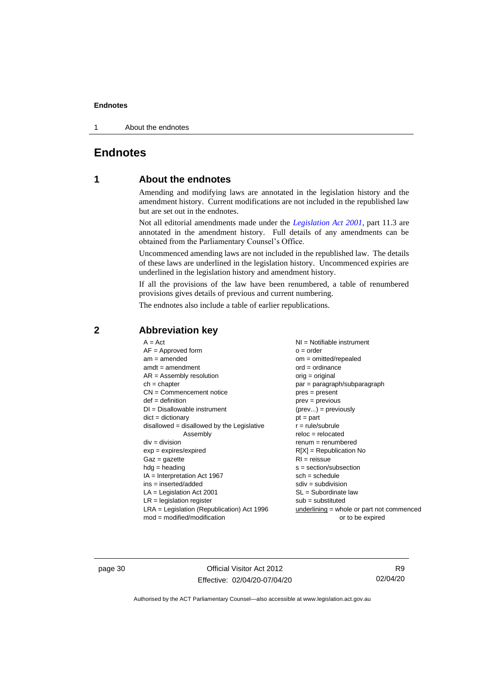1 About the endnotes

# <span id="page-35-1"></span><span id="page-35-0"></span>**Endnotes**

# **1 About the endnotes**

Amending and modifying laws are annotated in the legislation history and the amendment history. Current modifications are not included in the republished law but are set out in the endnotes.

Not all editorial amendments made under the *[Legislation Act 2001](http://www.legislation.act.gov.au/a/2001-14)*, part 11.3 are annotated in the amendment history. Full details of any amendments can be obtained from the Parliamentary Counsel's Office.

Uncommenced amending laws are not included in the republished law. The details of these laws are underlined in the legislation history. Uncommenced expiries are underlined in the legislation history and amendment history.

If all the provisions of the law have been renumbered, a table of renumbered provisions gives details of previous and current numbering.

The endnotes also include a table of earlier republications.

| $A = Act$                                    | $NI =$ Notifiable instrument              |
|----------------------------------------------|-------------------------------------------|
| $AF =$ Approved form                         | $o = order$                               |
| $am = amended$                               | $om = omitted/repealed$                   |
| $amdt = amendment$                           | $ord = ordinance$                         |
| $AR = Assembly resolution$                   | orig = original                           |
| $ch = chapter$                               | par = paragraph/subparagraph              |
| $CN =$ Commencement notice                   | $pres = present$                          |
| $def = definition$                           | $prev = previous$                         |
| $DI = Disallowable instrument$               | $(\text{prev}) = \text{previously}$       |
| $dict = dictionary$                          | $pt = part$                               |
| $disallowed = disallowed by the Legislative$ | $r = rule/subrule$                        |
| Assembly                                     | $reloc = relocated$                       |
| $div = division$                             | $remum = renumbered$                      |
| $exp = expires/expired$                      | $R[X]$ = Republication No                 |
| $Gaz = gazette$                              | $RI = reissue$                            |
| $hdg =$ heading                              | $s = section/subsection$                  |
| $IA = Interpretation Act 1967$               | $sch = schedule$                          |
| $ins = inserted/added$                       | $sdiv = subdivision$                      |
| $LA =$ Legislation Act 2001                  | $SL = Subordinate$ law                    |
| $LR =$ legislation register                  | $sub =$ substituted                       |
| $LRA =$ Legislation (Republication) Act 1996 | underlining = whole or part not commenced |
| $mod = modified/modification$                | or to be expired                          |
|                                              |                                           |

# <span id="page-35-2"></span>**2 Abbreviation key**

page 30 Official Visitor Act 2012 Effective: 02/04/20-07/04/20

R9 02/04/20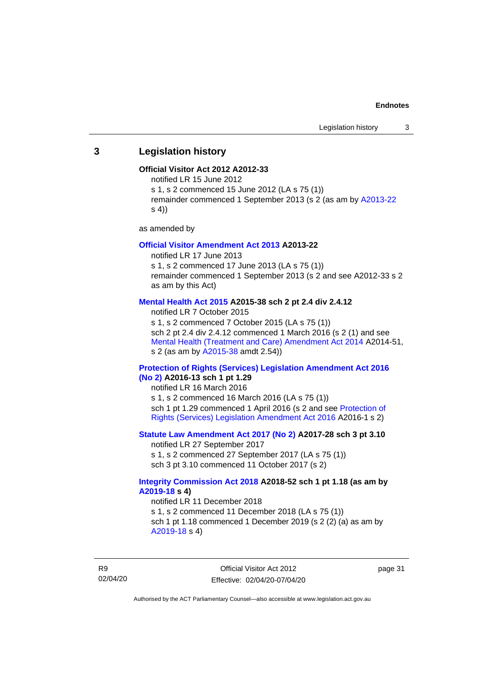## <span id="page-36-0"></span>**3 Legislation history**

#### **Official Visitor Act 2012 A2012-33**

notified LR 15 June 2012

s 1, s 2 commenced 15 June 2012 (LA s 75 (1))

remainder commenced 1 September 2013 (s 2 (as am by [A2013-22](http://www.legislation.act.gov.au/a/2013-22/default.asp) s 4))

as amended by

#### **[Official Visitor Amendment Act 2013](http://www.legislation.act.gov.au/a/2013-22/default.asp) A2013-22**

notified LR 17 June 2013 s 1, s 2 commenced 17 June 2013 (LA s 75 (1)) remainder commenced 1 September 2013 (s 2 and see A2012-33 s 2 as am by this Act)

#### **[Mental Health Act 2015](http://www.legislation.act.gov.au/a/2015-38#history) A2015-38 sch 2 pt 2.4 div 2.4.12**

notified LR 7 October 2015 s 1, s 2 commenced 7 October 2015 (LA s 75 (1)) sch 2 pt 2.4 div 2.4.12 commenced 1 March 2016 (s 2 (1) and see [Mental Health \(Treatment and Care\) Amendment Act 2014](http://www.legislation.act.gov.au/a/2014-51/default.asp) A2014-51, s 2 (as am by [A2015-38](http://www.legislation.act.gov.au/a/2015-38) amdt 2.54))

#### **[Protection of Rights \(Services\) Legislation Amendment Act 2016](http://www.legislation.act.gov.au/a/2016-13)  [\(No](http://www.legislation.act.gov.au/a/2016-13) 2) A2016-13 sch 1 pt 1.29**

notified LR 16 March 2016 s 1, s 2 commenced 16 March 2016 (LA s 75 (1)) sch 1 pt 1.29 commenced 1 April 2016 (s 2 and see [Protection of](http://www.legislation.act.gov.au/a/2016-1/default.asp)  [Rights \(Services\) Legislation Amendment Act 2016](http://www.legislation.act.gov.au/a/2016-1/default.asp) A2016-1 s 2)

## **[Statute Law Amendment Act 2017 \(No 2\)](http://www.legislation.act.gov.au/a/2017-28/default.asp) A2017-28 sch 3 pt 3.10**

notified LR 27 September 2017 s 1, s 2 commenced 27 September 2017 (LA s 75 (1)) sch 3 pt 3.10 commenced 11 October 2017 (s 2)

#### **[Integrity Commission Act 2018](http://www.legislation.act.gov.au/a/2018-52#history) A2018-52 sch 1 pt 1.18 (as am by [A2019-18](https://www.legislation.act.gov.au/a/2019-18) s 4)**

notified LR 11 December 2018 s 1, s 2 commenced 11 December 2018 (LA s 75 (1)) sch 1 pt 1.18 commenced 1 December 2019 (s 2 (2) (a) as am by [A2019-18](https://www.legislation.act.gov.au/a/2019-18) s 4)

R9 02/04/20 page 31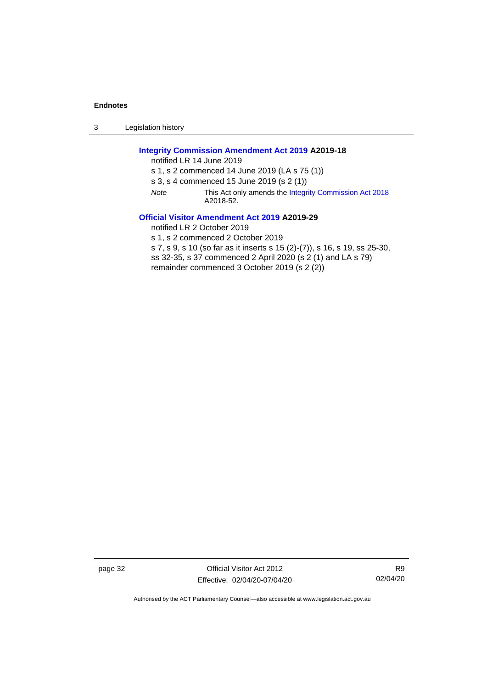3 Legislation history

## **[Integrity Commission Amendment Act 2019](http://www.legislation.act.gov.au/a/2019-18/default.asp) A2019-18**

notified LR 14 June 2019

s 1, s 2 commenced 14 June 2019 (LA s 75 (1))

s 3, s 4 commenced 15 June 2019 (s 2 (1))

*Note* This Act only amends th[e Integrity Commission Act 2018](http://www.legislation.act.gov.au/a/2018-52#history) A2018-52.

#### **[Official Visitor Amendment Act 2019](http://www.legislation.act.gov.au/a/2019-29) A2019-29**

notified LR 2 October 2019

s 1, s 2 commenced 2 October 2019

s 7, s 9, s 10 (so far as it inserts s 15 (2)-(7)), s 16, s 19, ss 25-30,

ss 32-35, s 37 commenced 2 April 2020 (s 2 (1) and LA s 79)

remainder commenced 3 October 2019 (s 2 (2))

page 32 Official Visitor Act 2012 Effective: 02/04/20-07/04/20

R9 02/04/20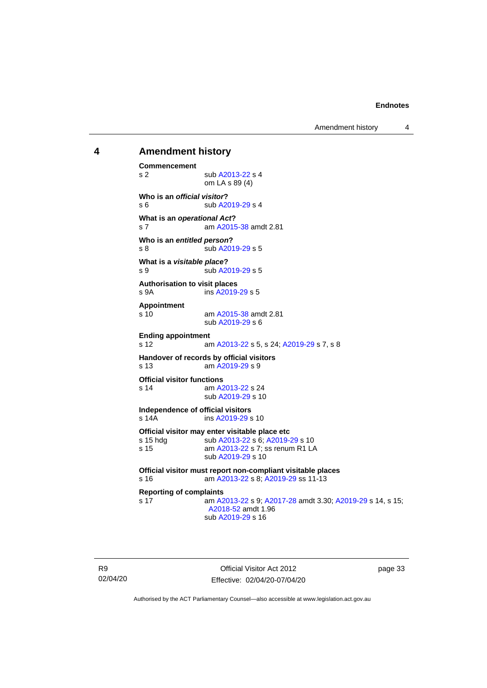Amendment history 4

# <span id="page-38-0"></span>**4 Amendment history Commencement**

s 2 sub [A2013-22](http://www.legislation.act.gov.au/a/2013-22/default.asp) s 4 om LA s 89 (4) **Who is an** *official visitor***?** s 6 sub [A2019-29](http://www.legislation.act.gov.au/a/2019-29/default.asp) s 4 **What is an** *operational Act***?** s 7 am [A2015-38](http://www.legislation.act.gov.au/a/2015-38/default.asp) amdt 2.81 **Who is an** *entitled person***?** s 8 sub [A2019-29](http://www.legislation.act.gov.au/a/2019-29/default.asp) s 5 **What is a** *visitable place***?** s 9 sub [A2019-29](http://www.legislation.act.gov.au/a/2019-29/default.asp) s 5 **Authorisation to visit places** s 9A ins [A2019-29](http://www.legislation.act.gov.au/a/2019-29/default.asp) s 5 **Appointment** s 10 am [A2015-38](http://www.legislation.act.gov.au/a/2015-38/default.asp) amdt 2.81 sub [A2019-29](http://www.legislation.act.gov.au/a/2019-29/default.asp) s 6 **Ending appointment** s 12 **am [A2013-22](http://www.legislation.act.gov.au/a/2013-22/default.asp) s 5, s 24[; A2019-29](http://www.legislation.act.gov.au/a/2019-29/default.asp) s 7, s 8 Handover of records by official visitors** s 13 am [A2019-29](http://www.legislation.act.gov.au/a/2019-29/) s 9 **Official visitor functions** s 14 am [A2013-22](http://www.legislation.act.gov.au/a/2013-22/default.asp) s 24 sub [A2019-29](http://www.legislation.act.gov.au/a/2019-29/default.asp) s 10 **Independence of official visitors** ins [A2019-29](http://www.legislation.act.gov.au/a/2019-29/default.asp) s 10 **Official visitor may enter visitable place etc** s 15 hdg sub [A2013-22](http://www.legislation.act.gov.au/a/2013-22/default.asp) s 6[; A2019-29](http://www.legislation.act.gov.au/a/2019-29/default.asp) s 10 s 15 **am [A2013-22](http://www.legislation.act.gov.au/a/2013-22/default.asp) s 7; ss renum R1 LA** sub [A2019-29](http://www.legislation.act.gov.au/a/2019-29/default.asp) s 10 **Official visitor must report non-compliant visitable places** s 16 am [A2013-22](http://www.legislation.act.gov.au/a/2013-22/default.asp) s 8[; A2019-29](http://www.legislation.act.gov.au/a/2019-29/default.asp) ss 11-13 **Reporting of complaints** s 17 am [A2013-22](http://www.legislation.act.gov.au/a/2013-22/default.asp) s 9[; A2017-28](http://www.legislation.act.gov.au/a/2017-28/default.asp) amdt 3.30; [A2019-29](http://www.legislation.act.gov.au/a/2019-29/default.asp) s 14, s 15; [A2018-52](https://www.legislation.act.gov.au/a/2018-52/#history) amdt 1.96 sub [A2019-29](http://www.legislation.act.gov.au/a/2019-29/default.asp) s 16

R9 02/04/20

Official Visitor Act 2012 Effective: 02/04/20-07/04/20 page 33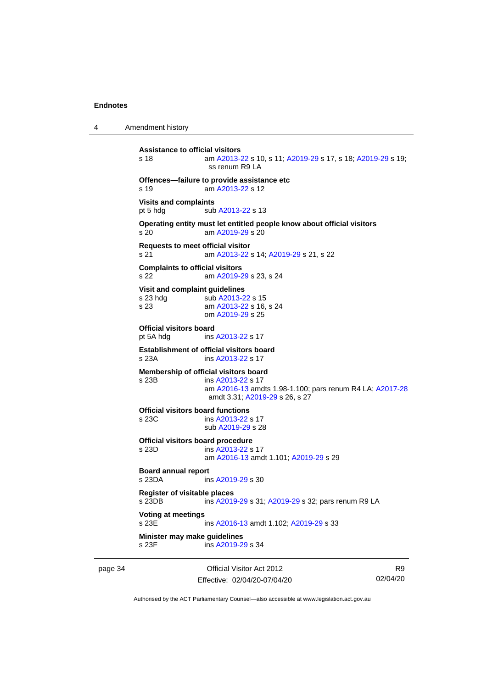4 Amendment history

```
Assistance to official visitors
s 18 am A2013-22 s 10, s 11; A2019-29 s 17, s 18; A2019-29 s 19; 
                 ss renum R9 LA
Offences—failure to provide assistance etc
s 19 am A2013-22 s 12
Visits and complaints
 A2013-22 s 13
Operating entity must let entitled people know about official visitors
s 20 am A2019-29 s 20
Requests to meet official visitor
s 21 am A2013-22 s 14; A2019-29 s 21, s 22
Complaints to official visitors
s 22 am A2019-29 s 23, s 24
Visit and complaint guidelines
 A2013-22 s 15
s 23 am A2013-22 s 16, s 24
               om A2019-29 s 25
Official visitors board
pt 5A hdg ins A2013-22 s 17
Establishment of official visitors board
s 23A ins A2013-22 s 17
Membership of official visitors board
s 23B ins A2013-22 s 17
                am A2016-13 amdts 1.98-1.100; pars renum R4 LA; A2017-28
                amdt 3.31; A2019-29 s 26, s 27
Official visitors board functions
s 23C ins A2013-22 s 17
                sub A2019-29 s 28
Official visitors board procedure
s 23D ins A2013-22 s 17
                am A2016-13 amdt 1.101; A2019-29 s 29
Board annual report<br>s 23DA in
                 A2019-29 s 30
Register of visitable places
s 23DB ins A2019-29 s 31; A2019-29 s 32; pars renum R9 LA
Voting at meetings
                 A2016-13; A2019-29 s 33
Minister may make guidelines
s 23F ins A2019-29 s 34
```
page 34 Official Visitor Act 2012 Effective: 02/04/20-07/04/20

R9 02/04/20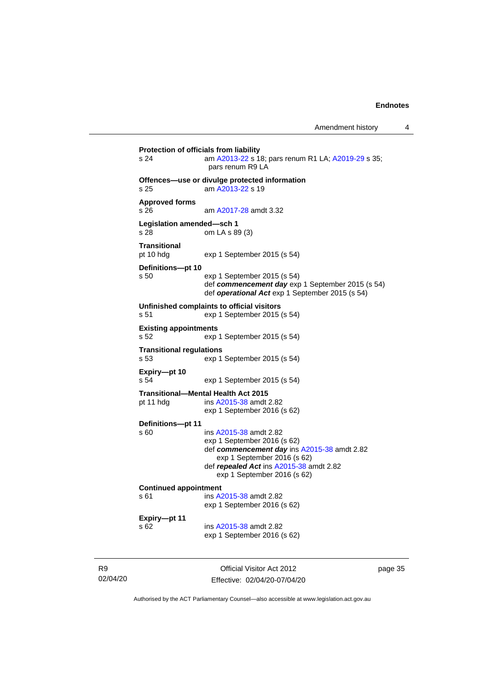**Protection of officials from liability** s 24 am [A2013-22](http://www.legislation.act.gov.au/a/2013-22/default.asp) s 18; pars renum R1 LA[; A2019-29](http://www.legislation.act.gov.au/a/2019-29/default.asp) s 35; pars renum R9 LA **Offences—use or divulge protected information** s 25 am [A2013-22](http://www.legislation.act.gov.au/a/2013-22/default.asp) s 19 **Approved forms** s 26 am [A2017-28](http://www.legislation.act.gov.au/a/2017-28/default.asp) amdt 3.32 **Legislation amended—sch 1** s 28 om LA s 89 (3) **Transitional** pt 10 hdg exp 1 September 2015 (s 54) **Definitions—pt 10** s 50 exp 1 September 2015 (s 54) def *commencement day* exp 1 September 2015 (s 54) def *operational Act* exp 1 September 2015 (s 54) **Unfinished complaints to official visitors** s 51 exp 1 September 2015 (s 54) **Existing appointments** s 52 exp 1 September 2015 (s 54) **Transitional regulations** s 53 exp 1 September 2015 (s 54) **Expiry—pt 10** s 54 exp 1 September 2015 (s 54) **Transitional—Mental Health Act 2015** pt 11 hdg ins [A2015-38](http://www.legislation.act.gov.au/a/2015-38/default.asp) amdt 2.82 exp 1 September 2016 (s 62) **Definitions—pt 11** s 60 ins [A2015-38](http://www.legislation.act.gov.au/a/2015-38/default.asp) amdt 2.82 exp 1 September 2016 (s 62) def *commencement day* ins [A2015-38](http://www.legislation.act.gov.au/a/2015-38/default.asp) amdt 2.82 exp 1 September 2016 (s 62) def *repealed Act* ins [A2015-38](http://www.legislation.act.gov.au/a/2015-38/default.asp) amdt 2.82 exp 1 September 2016 (s 62) **Continued appointment**<br>s 61 **ins A** ins [A2015-38](http://www.legislation.act.gov.au/a/2015-38/default.asp) amdt 2.82 exp 1 September 2016 (s 62) **Expiry—pt 11** s 62 ins [A2015-38](http://www.legislation.act.gov.au/a/2015-38/default.asp) amdt 2.82 exp 1 September 2016 (s 62)

R9 02/04/20

Official Visitor Act 2012 Effective: 02/04/20-07/04/20 page 35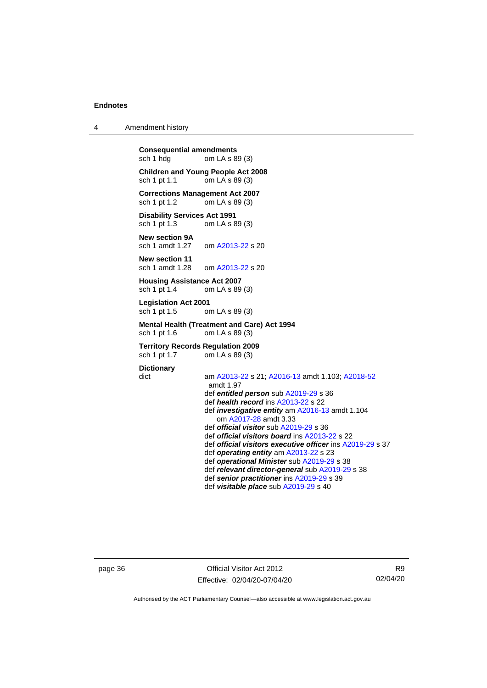4 Amendment history

**Consequential amendments**<br>sch 1 hdg om LA s 89 om LA s 89 (3)

**Children and Young People Act 2008** sch 1 pt 1.1 om LA s 89 (3)

**Corrections Management Act 2007**<br>sch 1 pt 1.2 om LA s 89 (3) om LA s  $89(3)$ 

**Disability Services Act 1991** sch 1 pt 1.3 om LA s 89 (3)

**New section 9A**<br>sch 1 amdt 1.27 om [A2013-22](http://www.legislation.act.gov.au/a/2013-22/default.asp) s 20

**New section 11** sch 1 amdt 1.28 om [A2013-22](http://www.legislation.act.gov.au/a/2013-22/default.asp) s 20

# **Housing Assistance Act 2007**<br>sch 1 pt 1.4 om LA s 89

om LA s 89 (3)

**Legislation Act 2001** sch 1 pt 1.5 om LA s 89 (3)

#### **Mental Health (Treatment and Care) Act 1994** sch 1 pt 1.6 om LA s 89 (3)

#### **Territory Records Regulation 2009**<br>sch 1 pt 1.7 om LA s 89 (3) om LA s 89 (3)

#### **Dictionary**

dict am [A2013-22](http://www.legislation.act.gov.au/a/2013-22/default.asp) s 21[; A2016-13](http://www.legislation.act.gov.au/a/2016-13) amdt 1.103; [A2018-52](https://www.legislation.act.gov.au/a/2018-52/#history) amdt 1.97 def *entitled person* sub [A2019-29](http://www.legislation.act.gov.au/a/2019-29/default.asp) s 36 def *health record* in[s A2013-22](http://www.legislation.act.gov.au/a/2013-22/default.asp) s 22 def *investigative entity* a[m A2016-13](http://www.legislation.act.gov.au/a/2016-13) amdt 1.104 om [A2017-28](http://www.legislation.act.gov.au/a/2017-28/default.asp) amdt 3.33 def *official visitor* sub [A2019-29](http://www.legislation.act.gov.au/a/2019-29/default.asp) s 36 def *official visitors board* in[s A2013-22](http://www.legislation.act.gov.au/a/2013-22/default.asp) s 22 def *official visitors executive officer* in[s A2019-29](http://www.legislation.act.gov.au/a/2019-29/default.asp) s 37 def *operating entity* am [A2013-22](http://www.legislation.act.gov.au/a/2013-22/default.asp) s 23 def *operational Minister* sub [A2019-29](http://www.legislation.act.gov.au/a/2019-29/default.asp) s 38 def *relevant director-general* sub [A2019-29](http://www.legislation.act.gov.au/a/2019-29/default.asp) s 38

def *senior practitioner* in[s A2019-29](http://www.legislation.act.gov.au/a/2019-29/default.asp) s 39

def *visitable place* sub [A2019-29](http://www.legislation.act.gov.au/a/2019-29/default.asp) s 40

page 36 Official Visitor Act 2012 Effective: 02/04/20-07/04/20

R9 02/04/20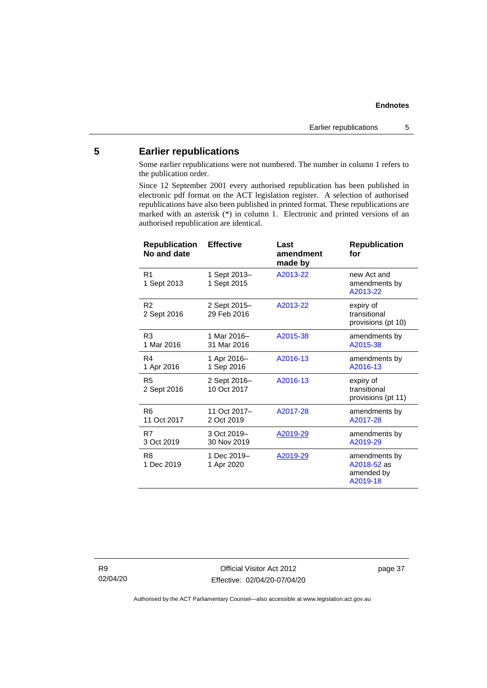# <span id="page-42-0"></span>**5 Earlier republications**

Some earlier republications were not numbered. The number in column 1 refers to the publication order.

Since 12 September 2001 every authorised republication has been published in electronic pdf format on the ACT legislation register. A selection of authorised republications have also been published in printed format. These republications are marked with an asterisk (\*) in column 1. Electronic and printed versions of an authorised republication are identical.

| <b>Republication</b><br>No and date | <b>Effective</b>            | Last<br>amendment<br>made by | <b>Republication</b><br>for                            |
|-------------------------------------|-----------------------------|------------------------------|--------------------------------------------------------|
| R <sub>1</sub><br>1 Sept 2013       | 1 Sept 2013-<br>1 Sept 2015 | A2013-22                     | new Act and<br>amendments by<br>A2013-22               |
| R <sub>2</sub><br>2 Sept 2016       | 2 Sept 2015-<br>29 Feb 2016 | A2013-22                     | expiry of<br>transitional<br>provisions (pt 10)        |
| R <sub>3</sub><br>1 Mar 2016        | 1 Mar 2016-<br>31 Mar 2016  | A2015-38                     | amendments by<br>A2015-38                              |
| R4<br>1 Apr 2016                    | 1 Apr 2016-<br>1 Sep 2016   | A2016-13                     | amendments by<br>A2016-13                              |
| R <sub>5</sub><br>2 Sept 2016       | 2 Sept 2016-<br>10 Oct 2017 | A2016-13                     | expiry of<br>transitional<br>provisions (pt 11)        |
| R <sub>6</sub><br>11 Oct 2017       | 11 Oct 2017-<br>2 Oct 2019  | A2017-28                     | amendments by<br>A2017-28                              |
| R7<br>3 Oct 2019                    | 3 Oct 2019-<br>30 Nov 2019  | A2019-29                     | amendments by<br>A2019-29                              |
| R <sub>8</sub><br>1 Dec 2019        | 1 Dec 2019-<br>1 Apr 2020   | A2019-29                     | amendments by<br>A2018-52 as<br>amended by<br>A2019-18 |